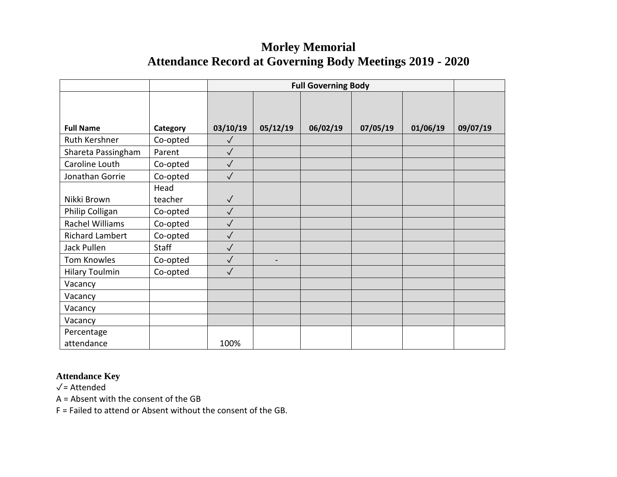## **Morley Memorial Attendance Record at Governing Body Meetings 2019 - 2020**

|                        |          | <b>Full Governing Body</b> |                          |          |          |          |          |
|------------------------|----------|----------------------------|--------------------------|----------|----------|----------|----------|
|                        |          |                            |                          |          |          |          |          |
|                        |          |                            |                          |          |          |          |          |
| <b>Full Name</b>       | Category | 03/10/19                   | 05/12/19                 | 06/02/19 | 07/05/19 | 01/06/19 | 09/07/19 |
| Ruth Kershner          | Co-opted | $\sqrt{}$                  |                          |          |          |          |          |
| Shareta Passingham     | Parent   | $\sqrt{}$                  |                          |          |          |          |          |
| Caroline Louth         | Co-opted | $\checkmark$               |                          |          |          |          |          |
| Jonathan Gorrie        | Co-opted | $\checkmark$               |                          |          |          |          |          |
|                        | Head     |                            |                          |          |          |          |          |
| Nikki Brown            | teacher  | $\sqrt{}$                  |                          |          |          |          |          |
| Philip Colligan        | Co-opted | $\sqrt{}$                  |                          |          |          |          |          |
| Rachel Williams        | Co-opted | $\checkmark$               |                          |          |          |          |          |
| <b>Richard Lambert</b> | Co-opted | $\checkmark$               |                          |          |          |          |          |
| Jack Pullen            | Staff    | $\sqrt{}$                  |                          |          |          |          |          |
| Tom Knowles            | Co-opted | $\checkmark$               | $\overline{\phantom{0}}$ |          |          |          |          |
| <b>Hilary Toulmin</b>  | Co-opted | $\checkmark$               |                          |          |          |          |          |
| Vacancy                |          |                            |                          |          |          |          |          |
| Vacancy                |          |                            |                          |          |          |          |          |
| Vacancy                |          |                            |                          |          |          |          |          |
| Vacancy                |          |                            |                          |          |          |          |          |
| Percentage             |          |                            |                          |          |          |          |          |
| attendance             |          | 100%                       |                          |          |          |          |          |

## **Attendance Key**

✓= Attended

A = Absent with the consent of the GB

F = Failed to attend or Absent without the consent of the GB.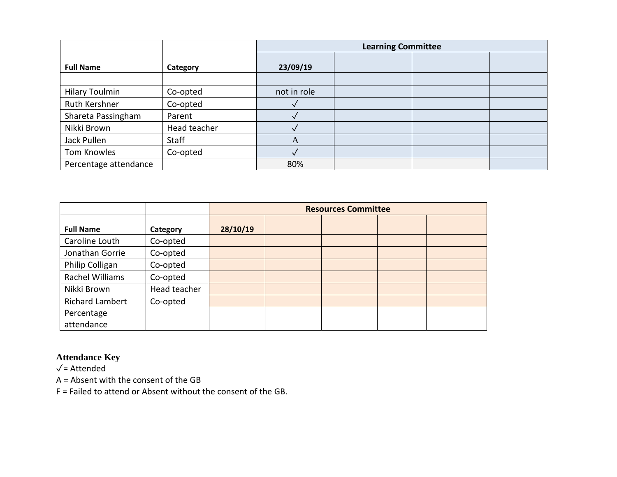|                       |              | <b>Learning Committee</b> |  |  |  |
|-----------------------|--------------|---------------------------|--|--|--|
| <b>Full Name</b>      | Category     | 23/09/19                  |  |  |  |
|                       |              |                           |  |  |  |
| <b>Hilary Toulmin</b> | Co-opted     | not in role               |  |  |  |
| Ruth Kershner         | Co-opted     |                           |  |  |  |
| Shareta Passingham    | Parent       |                           |  |  |  |
| Nikki Brown           | Head teacher |                           |  |  |  |
| Jack Pullen           | <b>Staff</b> | A                         |  |  |  |
| Tom Knowles           | Co-opted     |                           |  |  |  |
| Percentage attendance |              | 80%                       |  |  |  |

|                        |              | <b>Resources Committee</b> |  |  |  |  |
|------------------------|--------------|----------------------------|--|--|--|--|
| <b>Full Name</b>       | Category     | 28/10/19                   |  |  |  |  |
| Caroline Louth         | Co-opted     |                            |  |  |  |  |
| Jonathan Gorrie        | Co-opted     |                            |  |  |  |  |
| Philip Colligan        | Co-opted     |                            |  |  |  |  |
| Rachel Williams        | Co-opted     |                            |  |  |  |  |
| Nikki Brown            | Head teacher |                            |  |  |  |  |
| <b>Richard Lambert</b> | Co-opted     |                            |  |  |  |  |
| Percentage             |              |                            |  |  |  |  |
| attendance             |              |                            |  |  |  |  |

## **Attendance Key**

✓= Attended

A = Absent with the consent of the GB

F = Failed to attend or Absent without the consent of the GB.